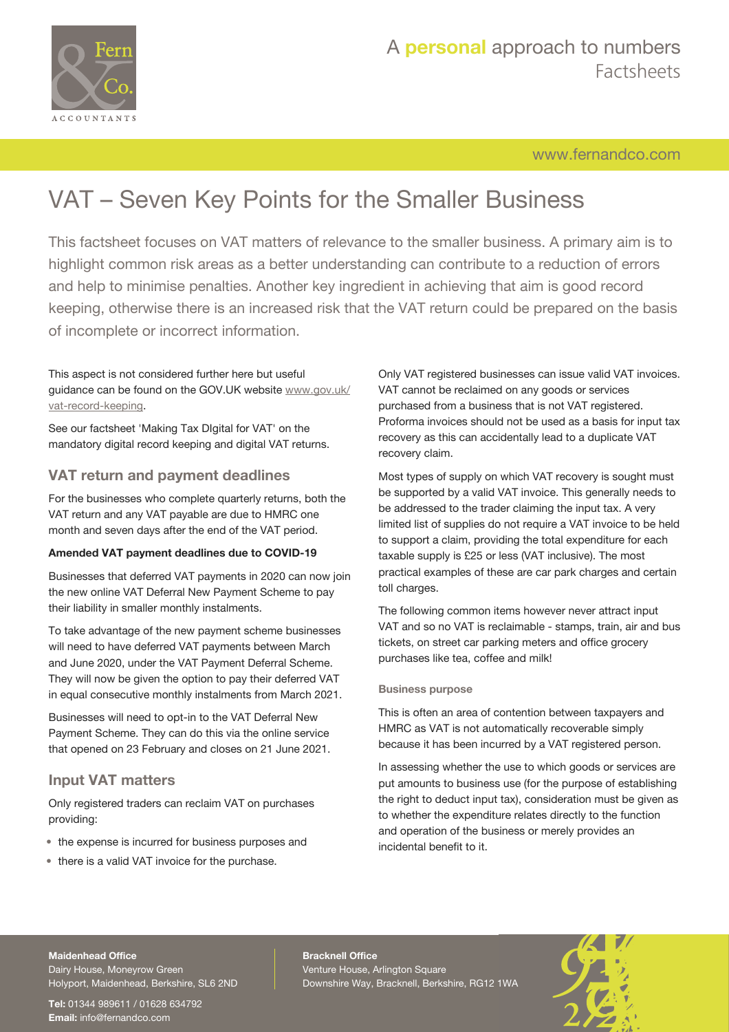

# A **personal** approach to numbers Factsheets

# [www.fernandco.com](http://www.fernandco.com)

# VAT – Seven Key Points for the Smaller Business

This factsheet focuses on VAT matters of relevance to the smaller business. A primary aim is to highlight common risk areas as a better understanding can contribute to a reduction of errors and help to minimise penalties. Another key ingredient in achieving that aim is good record keeping, otherwise there is an increased risk that the VAT return could be prepared on the basis of incomplete or incorrect information.

This aspect is not considered further here but useful guidance can be found on the GOV.UK website [www.gov.uk/](https://www.gov.uk/vat-record-keeping) [vat-record-keeping.](https://www.gov.uk/vat-record-keeping)

See our factsheet 'Making Tax DIgital for VAT' on the mandatory digital record keeping and digital VAT returns.

# **VAT return and payment deadlines**

For the businesses who complete quarterly returns, both the VAT return and any VAT payable are due to HMRC one month and seven days after the end of the VAT period.

#### **Amended VAT payment deadlines due to COVID-19**

Businesses that deferred VAT payments in 2020 can now join the new online VAT Deferral New Payment Scheme to pay their liability in smaller monthly instalments.

To take advantage of the new payment scheme businesses will need to have deferred VAT payments between March and June 2020, under the VAT Payment Deferral Scheme. They will now be given the option to pay their deferred VAT in equal consecutive monthly instalments from March 2021.

Businesses will need to opt-in to the VAT Deferral New Payment Scheme. They can do this via the online service that opened on 23 February and closes on 21 June 2021.

# **Input VAT matters**

Only registered traders can reclaim VAT on purchases providing:

- the expense is incurred for business purposes and
- there is a valid VAT invoice for the purchase.

Only VAT registered businesses can issue valid VAT invoices. VAT cannot be reclaimed on any goods or services purchased from a business that is not VAT registered. Proforma invoices should not be used as a basis for input tax recovery as this can accidentally lead to a duplicate VAT recovery claim.

Most types of supply on which VAT recovery is sought must be supported by a valid VAT invoice. This generally needs to be addressed to the trader claiming the input tax. A very limited list of supplies do not require a VAT invoice to be held to support a claim, providing the total expenditure for each taxable supply is £25 or less (VAT inclusive). The most practical examples of these are car park charges and certain toll charges.

The following common items however never attract input VAT and so no VAT is reclaimable - stamps, train, air and bus tickets, on street car parking meters and office grocery purchases like tea, coffee and milk!

#### **Business purpose**

This is often an area of contention between taxpayers and HMRC as VAT is not automatically recoverable simply because it has been incurred by a VAT registered person.

In assessing whether the use to which goods or services are put amounts to business use (for the purpose of establishing the right to deduct input tax), consideration must be given as to whether the expenditure relates directly to the function and operation of the business or merely provides an incidental benefit to it.

#### **Maidenhead Office**

Dairy House, Moneyrow Green Holyport, Maidenhead, Berkshire, SL6 2ND

**Tel:** 01344 989611 / 01628 634792 **Email:** [info@fernandco.com](mailto:info@fernandco.com)

**Bracknell Office** Venture House, Arlington Square Downshire Way, Bracknell, Berkshire, RG12 1WA

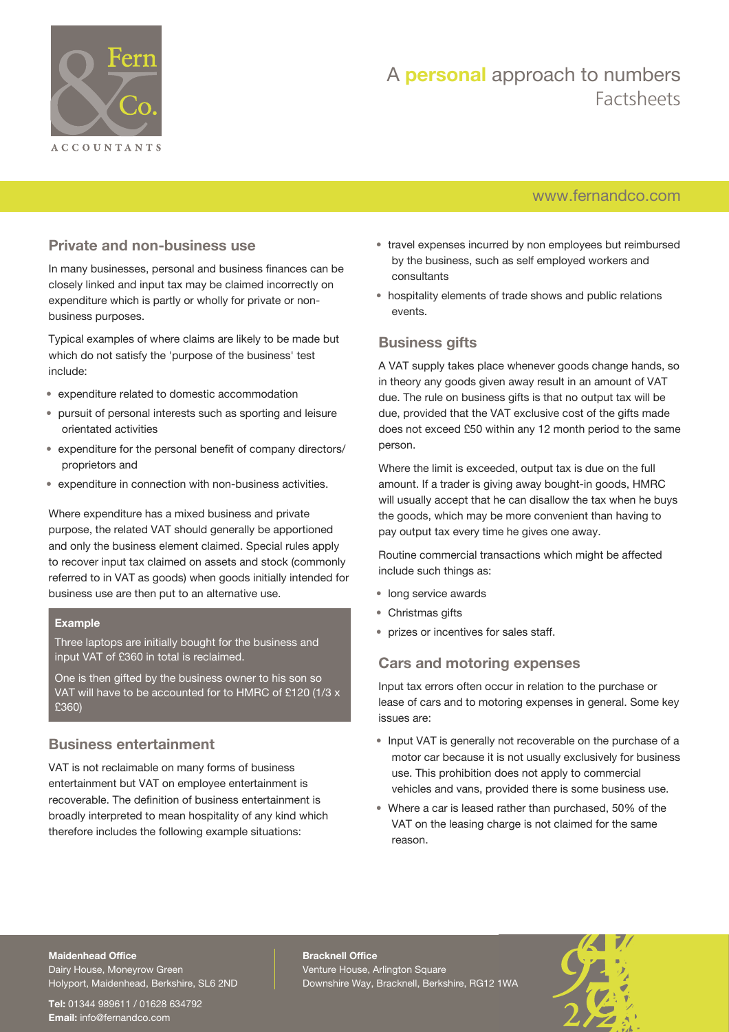

# A **personal** approach to numbers Factsheets

# [www.fernandco.com](http://www.fernandco.com)

# **Private and non-business use**

In many businesses, personal and business finances can be closely linked and input tax may be claimed incorrectly on expenditure which is partly or wholly for private or nonbusiness purposes.

Typical examples of where claims are likely to be made but which do not satisfy the 'purpose of the business' test include:

- expenditure related to domestic accommodation
- pursuit of personal interests such as sporting and leisure orientated activities
- expenditure for the personal benefit of company directors/ proprietors and
- expenditure in connection with non-business activities.

Where expenditure has a mixed business and private purpose, the related VAT should generally be apportioned and only the business element claimed. Special rules apply to recover input tax claimed on assets and stock (commonly referred to in VAT as goods) when goods initially intended for business use are then put to an alternative use.

### **Example**

Three laptops are initially bought for the business and input VAT of £360 in total is reclaimed.

One is then gifted by the business owner to his son so VAT will have to be accounted for to HMRC of £120 (1/3 x £360)

# **Business entertainment**

VAT is not reclaimable on many forms of business entertainment but VAT on employee entertainment is recoverable. The definition of business entertainment is broadly interpreted to mean hospitality of any kind which therefore includes the following example situations:

- travel expenses incurred by non employees but reimbursed by the business, such as self employed workers and consultants
- hospitality elements of trade shows and public relations events.

# **Business gifts**

A VAT supply takes place whenever goods change hands, so in theory any goods given away result in an amount of VAT due. The rule on business gifts is that no output tax will be due, provided that the VAT exclusive cost of the gifts made does not exceed £50 within any 12 month period to the same person.

Where the limit is exceeded, output tax is due on the full amount. If a trader is giving away bought-in goods, HMRC will usually accept that he can disallow the tax when he buys the goods, which may be more convenient than having to pay output tax every time he gives one away.

Routine commercial transactions which might be affected include such things as:

- long service awards
- Christmas gifts
- prizes or incentives for sales staff.

# **Cars and motoring expenses**

Input tax errors often occur in relation to the purchase or lease of cars and to motoring expenses in general. Some key issues are:

- Input VAT is generally not recoverable on the purchase of a motor car because it is not usually exclusively for business use. This prohibition does not apply to commercial vehicles and vans, provided there is some business use.
- Where a car is leased rather than purchased, 50% of the VAT on the leasing charge is not claimed for the same reason.

#### **Maidenhead Office**

Dairy House, Moneyrow Green Holyport, Maidenhead, Berkshire, SL6 2ND

**Tel:** 01344 989611 / 01628 634792 **Email:** [info@fernandco.com](mailto:info@fernandco.com)

**Bracknell Office** Venture House, Arlington Square Downshire Way, Bracknell, Berkshire, RG12 1WA